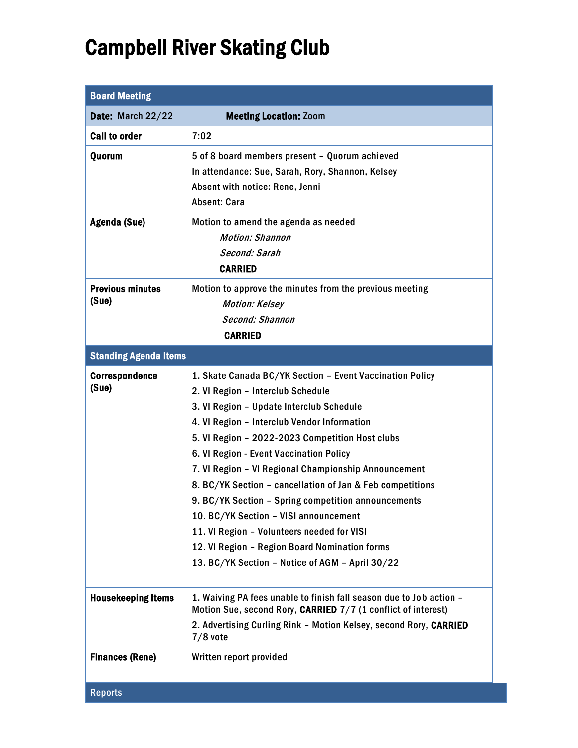## Campbell River Skating Club

| <b>Board Meeting</b>             |                                                                                                                                                                                                                                                                                                                                                                                                                                                                                                                                                                                                                                                               |
|----------------------------------|---------------------------------------------------------------------------------------------------------------------------------------------------------------------------------------------------------------------------------------------------------------------------------------------------------------------------------------------------------------------------------------------------------------------------------------------------------------------------------------------------------------------------------------------------------------------------------------------------------------------------------------------------------------|
| Date: March 22/22                | <b>Meeting Location: Zoom</b>                                                                                                                                                                                                                                                                                                                                                                                                                                                                                                                                                                                                                                 |
| <b>Call to order</b>             | 7:02                                                                                                                                                                                                                                                                                                                                                                                                                                                                                                                                                                                                                                                          |
| Quorum                           | 5 of 8 board members present - Quorum achieved<br>In attendance: Sue, Sarah, Rory, Shannon, Kelsey<br>Absent with notice: Rene, Jenni<br><b>Absent: Cara</b>                                                                                                                                                                                                                                                                                                                                                                                                                                                                                                  |
| Agenda (Sue)                     | Motion to amend the agenda as needed<br><b>Motion: Shannon</b><br>Second: Sarah<br><b>CARRIED</b>                                                                                                                                                                                                                                                                                                                                                                                                                                                                                                                                                             |
| <b>Previous minutes</b><br>(Sue) | Motion to approve the minutes from the previous meeting<br><b>Motion: Kelsey</b><br>Second: Shannon<br><b>CARRIED</b>                                                                                                                                                                                                                                                                                                                                                                                                                                                                                                                                         |
| <b>Standing Agenda Items</b>     |                                                                                                                                                                                                                                                                                                                                                                                                                                                                                                                                                                                                                                                               |
| <b>Correspondence</b><br>(Sue)   | 1. Skate Canada BC/YK Section - Event Vaccination Policy<br>2. VI Region - Interclub Schedule<br>3. VI Region - Update Interclub Schedule<br>4. VI Region - Interclub Vendor Information<br>5. VI Region - 2022-2023 Competition Host clubs<br>6. VI Region - Event Vaccination Policy<br>7. VI Region - VI Regional Championship Announcement<br>8. BC/YK Section - cancellation of Jan & Feb competitions<br>9. BC/YK Section - Spring competition announcements<br>10. BC/YK Section - VISI announcement<br>11. VI Region - Volunteers needed for VISI<br>12. VI Region - Region Board Nomination forms<br>13. BC/YK Section - Notice of AGM - April 30/22 |
| <b>Housekeeping Items</b>        | 1. Waiving PA fees unable to finish fall season due to Job action -<br>Motion Sue, second Rory, CARRIED 7/7 (1 conflict of interest)<br>2. Advertising Curling Rink - Motion Kelsey, second Rory, CARRIED                                                                                                                                                                                                                                                                                                                                                                                                                                                     |
|                                  | $7/8$ vote                                                                                                                                                                                                                                                                                                                                                                                                                                                                                                                                                                                                                                                    |
| <b>Finances (Rene)</b>           | Written report provided                                                                                                                                                                                                                                                                                                                                                                                                                                                                                                                                                                                                                                       |
| <b>Reports</b>                   |                                                                                                                                                                                                                                                                                                                                                                                                                                                                                                                                                                                                                                                               |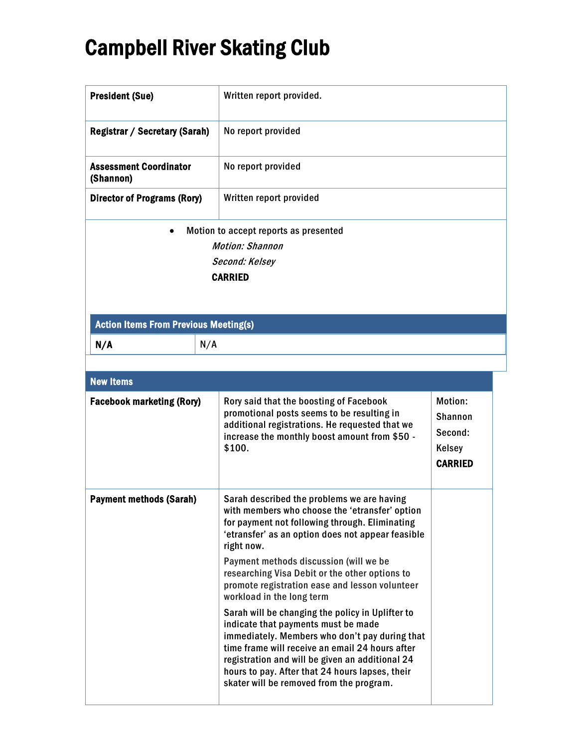## Campbell River Skating Club

| <b>President (Sue)</b>                                                                              | Written report provided.                                                                                                                                                                                                                                                                                                                                                                                                                                                                                                                                                                                                                                                                                                                       |                                                                         |  |  |  |
|-----------------------------------------------------------------------------------------------------|------------------------------------------------------------------------------------------------------------------------------------------------------------------------------------------------------------------------------------------------------------------------------------------------------------------------------------------------------------------------------------------------------------------------------------------------------------------------------------------------------------------------------------------------------------------------------------------------------------------------------------------------------------------------------------------------------------------------------------------------|-------------------------------------------------------------------------|--|--|--|
| <b>Registrar / Secretary (Sarah)</b>                                                                | No report provided                                                                                                                                                                                                                                                                                                                                                                                                                                                                                                                                                                                                                                                                                                                             |                                                                         |  |  |  |
| <b>Assessment Coordinator</b><br>(Shannon)                                                          | No report provided                                                                                                                                                                                                                                                                                                                                                                                                                                                                                                                                                                                                                                                                                                                             |                                                                         |  |  |  |
| <b>Director of Programs (Rory)</b>                                                                  | Written report provided                                                                                                                                                                                                                                                                                                                                                                                                                                                                                                                                                                                                                                                                                                                        |                                                                         |  |  |  |
| Motion to accept reports as presented<br><b>Motion: Shannon</b><br>Second: Kelsey<br><b>CARRIED</b> |                                                                                                                                                                                                                                                                                                                                                                                                                                                                                                                                                                                                                                                                                                                                                |                                                                         |  |  |  |
| <b>Action Items From Previous Meeting(s)</b>                                                        |                                                                                                                                                                                                                                                                                                                                                                                                                                                                                                                                                                                                                                                                                                                                                |                                                                         |  |  |  |
| N/A<br>N/A                                                                                          |                                                                                                                                                                                                                                                                                                                                                                                                                                                                                                                                                                                                                                                                                                                                                |                                                                         |  |  |  |
|                                                                                                     |                                                                                                                                                                                                                                                                                                                                                                                                                                                                                                                                                                                                                                                                                                                                                |                                                                         |  |  |  |
| <b>New Items</b>                                                                                    |                                                                                                                                                                                                                                                                                                                                                                                                                                                                                                                                                                                                                                                                                                                                                |                                                                         |  |  |  |
| <b>Facebook marketing (Rory)</b>                                                                    | Rory said that the boosting of Facebook<br>promotional posts seems to be resulting in<br>additional registrations. He requested that we<br>increase the monthly boost amount from \$50 -<br>\$100.                                                                                                                                                                                                                                                                                                                                                                                                                                                                                                                                             | Motion:<br><b>Shannon</b><br>Second:<br><b>Kelsey</b><br><b>CARRIED</b> |  |  |  |
| <b>Payment methods (Sarah)</b>                                                                      | Sarah described the problems we are having<br>with members who choose the 'etransfer' option<br>for payment not following through. Eliminating<br>'etransfer' as an option does not appear feasible<br>right now.<br>Payment methods discussion (will we be<br>researching Visa Debit or the other options to<br>promote registration ease and lesson volunteer<br>workload in the long term<br>Sarah will be changing the policy in Uplifter to<br>indicate that payments must be made<br>immediately. Members who don't pay during that<br>time frame will receive an email 24 hours after<br>registration and will be given an additional 24<br>hours to pay. After that 24 hours lapses, their<br>skater will be removed from the program. |                                                                         |  |  |  |
|                                                                                                     |                                                                                                                                                                                                                                                                                                                                                                                                                                                                                                                                                                                                                                                                                                                                                |                                                                         |  |  |  |